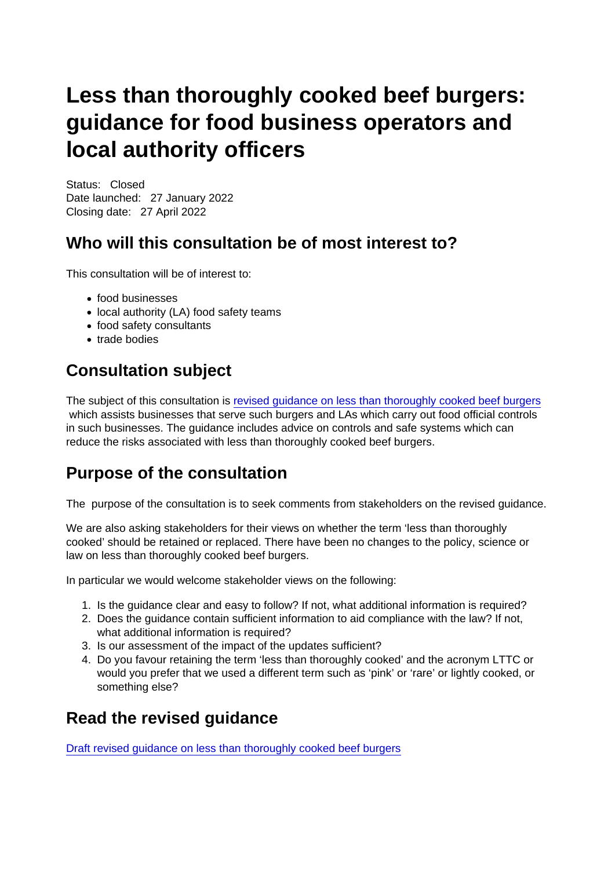# Less than thoroughly cooked beef burgers: guidance for food business operators and local authority officers

Status: Closed Date launched: 27 January 2022 Closing date: 27 April 2022

## Who will this consultation be of most interest to?

This consultation will be of interest to:

- food businesses
- local authority (LA) food safety teams
- food safety consultants
- trade bodies

# Consultation subject

The subject of this consultation is [revised guidance on less than thoroughly cooked beef burgers](https://www.food.gov.uk/business-guidance/guidance-summary) which assists businesses that serve such burgers and LAs which carry out food official controls in such businesses. The guidance includes advice on controls and safe systems which can reduce the risks associated with less than thoroughly cooked beef burgers.

#### Purpose of the consultation

The purpose of the consultation is to seek comments from stakeholders on the revised guidance.

We are also asking stakeholders for their views on whether the term 'less than thoroughly cooked' should be retained or replaced. There have been no changes to the policy, science or law on less than thoroughly cooked beef burgers.

In particular we would welcome stakeholder views on the following:

- 1. Is the guidance clear and easy to follow? If not, what additional information is required?
- 2. Does the guidance contain sufficient information to aid compliance with the law? If not, what additional information is required?
- 3. Is our assessment of the impact of the updates sufficient?
- 4. Do you favour retaining the term 'less than thoroughly cooked' and the acronym LTTC or would you prefer that we used a different term such as 'pink' or 'rare' or lightly cooked, or something else?

#### Read the revised guidance

[Draft revised guidance on less than thoroughly cooked beef burgers](https://www.food.gov.uk/business-guidance/guidance-summary)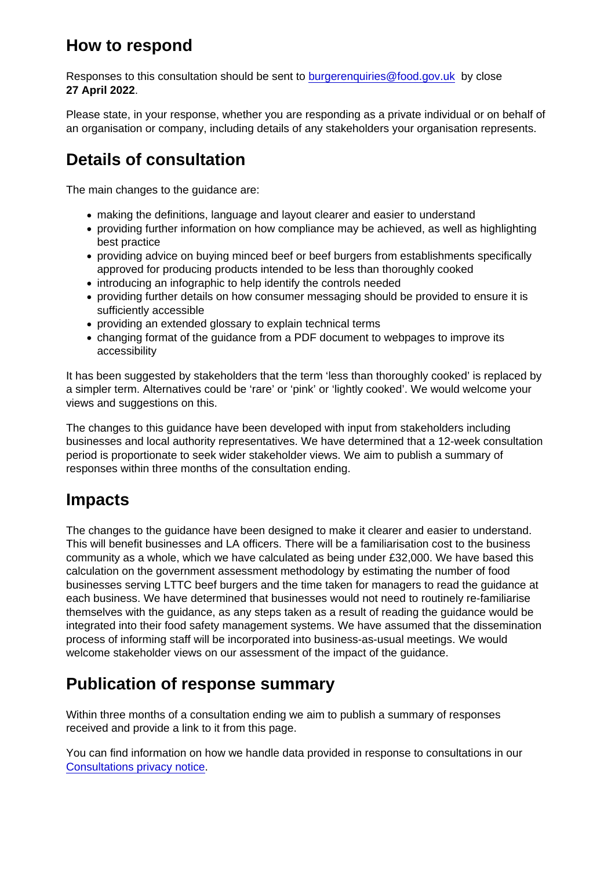#### How to respond

Responses to this consultation should be sent to [burgerenquiries@food.gov.uk](mailto:burgerenquiries@food.gov.uk) by close 27 April 2022 .

Please state, in your response, whether you are responding as a private individual or on behalf of an organisation or company, including details of any stakeholders your organisation represents.

# Details of consultation

The main changes to the guidance are:

- making the definitions, language and layout clearer and easier to understand
- providing further information on how compliance may be achieved, as well as highlighting best practice
- providing advice on buying minced beef or beef burgers from establishments specifically approved for producing products intended to be less than thoroughly cooked
- introducing an infographic to help identify the controls needed
- providing further details on how consumer messaging should be provided to ensure it is sufficiently accessible
- providing an extended glossary to explain technical terms
- changing format of the guidance from a PDF document to webpages to improve its accessibility

It has been suggested by stakeholders that the term 'less than thoroughly cooked' is replaced by a simpler term. Alternatives could be 'rare' or 'pink' or 'lightly cooked'. We would welcome your views and suggestions on this.

The changes to this guidance have been developed with input from stakeholders including businesses and local authority representatives. We have determined that a 12-week consultation period is proportionate to seek wider stakeholder views. We aim to publish a summary of responses within three months of the consultation ending.

#### Impacts

The changes to the guidance have been designed to make it clearer and easier to understand. This will benefit businesses and LA officers. There will be a familiarisation cost to the business community as a whole, which we have calculated as being under £32,000. We have based this calculation on the government assessment methodology by estimating the number of food businesses serving LTTC beef burgers and the time taken for managers to read the guidance at each business. We have determined that businesses would not need to routinely re-familiarise themselves with the guidance, as any steps taken as a result of reading the guidance would be integrated into their food safety management systems. We have assumed that the dissemination process of informing staff will be incorporated into business-as-usual meetings. We would welcome stakeholder views on our assessment of the impact of the guidance.

## Publication of response summary

Within three months of a consultation ending we aim to publish a summary of responses received and provide a link to it from this page.

You can find information on how we handle data provided in response to consultations in our [Consultations privacy notice](https://www.food.gov.uk/about-us/privacy-notice-consultations).